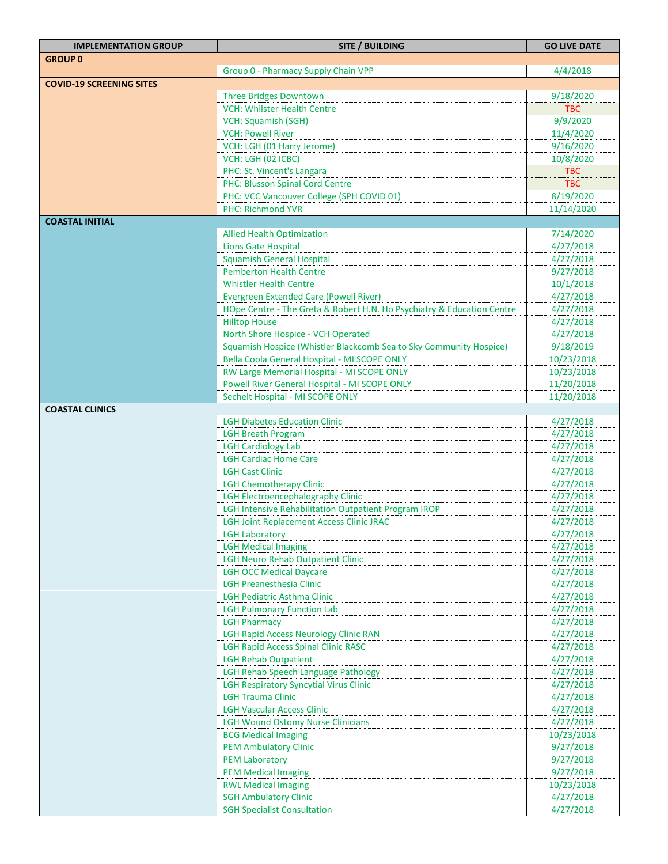| <b>GROUP 0</b><br>Group 0 - Pharmacy Supply Chain VPP<br>4/4/2018<br><b>COVID-19 SCREENING SITES</b><br><b>Three Bridges Downtown</b><br>9/18/2020<br><b>VCH: Whilster Health Centre</b><br><b>TBC</b><br>9/9/2020<br>VCH: Squamish (SGH)<br><b>VCH: Powell River</b><br>11/4/2020<br>9/16/2020<br>VCH: LGH (01 Harry Jerome)<br>VCH: LGH (02 ICBC)<br>10/8/2020<br>PHC: St. Vincent's Langara<br><b>TBC</b><br><b>PHC: Blusson Spinal Cord Centre</b><br><b>TBC</b><br>PHC: VCC Vancouver College (SPH COVID 01)<br>8/19/2020<br><b>PHC: Richmond YVR</b><br>11/14/2020<br><b>COASTAL INITIAL</b><br>7/14/2020<br><b>Allied Health Optimization</b><br>4/27/2018<br><b>Lions Gate Hospital</b><br><b>Squamish General Hospital</b><br>4/27/2018<br><b>Pemberton Health Centre</b><br>9/27/2018<br><b>Whistler Health Centre</b><br>10/1/2018<br><b>Evergreen Extended Care (Powell River)</b><br>4/27/2018<br>HOpe Centre - The Greta & Robert H.N. Ho Psychiatry & Education Centre<br>4/27/2018<br><b>Hilltop House</b><br>4/27/2018<br>North Shore Hospice - VCH Operated<br>4/27/2018<br>Squamish Hospice (Whistler Blackcomb Sea to Sky Community Hospice)<br>9/18/2019<br>Bella Coola General Hospital - MI SCOPE ONLY<br>10/23/2018<br>RW Large Memorial Hospital - MI SCOPE ONLY<br>10/23/2018<br>Powell River General Hospital - MI SCOPE ONLY<br>11/20/2018<br>Sechelt Hospital - MI SCOPE ONLY<br>11/20/2018<br><b>COASTAL CLINICS</b><br><b>LGH Diabetes Education Clinic</b><br>4/27/2018<br>4/27/2018<br><b>LGH Breath Program</b><br><b>LGH Cardiology Lab</b><br>4/27/2018<br><b>LGH Cardiac Home Care</b><br>4/27/2018<br><b>LGH Cast Clinic</b><br>4/27/2018<br><b>LGH Chemotherapy Clinic</b><br>4/27/2018<br><b>LGH Electroencephalography Clinic</b><br>4/27/2018<br>LGH Intensive Rehabilitation Outpatient Program IROP<br>4/27/2018<br><b>LGH Joint Replacement Access Clinic JRAC</b><br>4/27/2018<br>4/27/2018<br><b>LGH Laboratory</b><br><b>LGH Medical Imaging</b><br>4/27/2018<br><b>LGH Neuro Rehab Outpatient Clinic</b><br>4/27/2018<br><b>LGH OCC Medical Daycare</b><br>4/27/2018<br><b>LGH Preanesthesia Clinic</b><br>4/27/2018<br><b>LGH Pediatric Asthma Clinic</b><br>4/27/2018<br><b>LGH Pulmonary Function Lab</b><br>4/27/2018<br><b>LGH Pharmacy</b><br>4/27/2018<br><b>LGH Rapid Access Neurology Clinic RAN</b><br>4/27/2018<br><b>LGH Rapid Access Spinal Clinic RASC</b><br>4/27/2018<br><b>LGH Rehab Outpatient</b><br>4/27/2018<br>LGH Rehab Speech Language Pathology<br>4/27/2018<br><b>LGH Respiratory Syncytial Virus Clinic</b><br>4/27/2018<br><b>LGH Trauma Clinic</b><br>4/27/2018<br><b>LGH Vascular Access Clinic</b><br>4/27/2018<br><b>LGH Wound Ostomy Nurse Clinicians</b><br>4/27/2018<br><b>BCG Medical Imaging</b><br>10/23/2018<br>9/27/2018<br><b>PEM Ambulatory Clinic</b><br>9/27/2018<br><b>PEM Laboratory</b><br><b>PEM Medical Imaging</b><br>9/27/2018<br><b>RWL Medical Imaging</b><br>10/23/2018<br><b>SGH Ambulatory Clinic</b><br>4/27/2018 | <b>IMPLEMENTATION GROUP</b> | <b>SITE / BUILDING</b>             | <b>GO LIVE DATE</b> |
|-----------------------------------------------------------------------------------------------------------------------------------------------------------------------------------------------------------------------------------------------------------------------------------------------------------------------------------------------------------------------------------------------------------------------------------------------------------------------------------------------------------------------------------------------------------------------------------------------------------------------------------------------------------------------------------------------------------------------------------------------------------------------------------------------------------------------------------------------------------------------------------------------------------------------------------------------------------------------------------------------------------------------------------------------------------------------------------------------------------------------------------------------------------------------------------------------------------------------------------------------------------------------------------------------------------------------------------------------------------------------------------------------------------------------------------------------------------------------------------------------------------------------------------------------------------------------------------------------------------------------------------------------------------------------------------------------------------------------------------------------------------------------------------------------------------------------------------------------------------------------------------------------------------------------------------------------------------------------------------------------------------------------------------------------------------------------------------------------------------------------------------------------------------------------------------------------------------------------------------------------------------------------------------------------------------------------------------------------------------------------------------------------------------------------------------------------------------------------------------------------------------------------------------------------------------------------------------------------------------------------------------------------------------------------------------------------------------------------------------------------------------------------------------------------------------------------------------------------------------------------------------------------------------------------------------------------------------------------------------------------------------------------------|-----------------------------|------------------------------------|---------------------|
|                                                                                                                                                                                                                                                                                                                                                                                                                                                                                                                                                                                                                                                                                                                                                                                                                                                                                                                                                                                                                                                                                                                                                                                                                                                                                                                                                                                                                                                                                                                                                                                                                                                                                                                                                                                                                                                                                                                                                                                                                                                                                                                                                                                                                                                                                                                                                                                                                                                                                                                                                                                                                                                                                                                                                                                                                                                                                                                                                                                                                             |                             |                                    |                     |
|                                                                                                                                                                                                                                                                                                                                                                                                                                                                                                                                                                                                                                                                                                                                                                                                                                                                                                                                                                                                                                                                                                                                                                                                                                                                                                                                                                                                                                                                                                                                                                                                                                                                                                                                                                                                                                                                                                                                                                                                                                                                                                                                                                                                                                                                                                                                                                                                                                                                                                                                                                                                                                                                                                                                                                                                                                                                                                                                                                                                                             |                             |                                    |                     |
|                                                                                                                                                                                                                                                                                                                                                                                                                                                                                                                                                                                                                                                                                                                                                                                                                                                                                                                                                                                                                                                                                                                                                                                                                                                                                                                                                                                                                                                                                                                                                                                                                                                                                                                                                                                                                                                                                                                                                                                                                                                                                                                                                                                                                                                                                                                                                                                                                                                                                                                                                                                                                                                                                                                                                                                                                                                                                                                                                                                                                             |                             |                                    |                     |
|                                                                                                                                                                                                                                                                                                                                                                                                                                                                                                                                                                                                                                                                                                                                                                                                                                                                                                                                                                                                                                                                                                                                                                                                                                                                                                                                                                                                                                                                                                                                                                                                                                                                                                                                                                                                                                                                                                                                                                                                                                                                                                                                                                                                                                                                                                                                                                                                                                                                                                                                                                                                                                                                                                                                                                                                                                                                                                                                                                                                                             |                             |                                    |                     |
|                                                                                                                                                                                                                                                                                                                                                                                                                                                                                                                                                                                                                                                                                                                                                                                                                                                                                                                                                                                                                                                                                                                                                                                                                                                                                                                                                                                                                                                                                                                                                                                                                                                                                                                                                                                                                                                                                                                                                                                                                                                                                                                                                                                                                                                                                                                                                                                                                                                                                                                                                                                                                                                                                                                                                                                                                                                                                                                                                                                                                             |                             |                                    |                     |
|                                                                                                                                                                                                                                                                                                                                                                                                                                                                                                                                                                                                                                                                                                                                                                                                                                                                                                                                                                                                                                                                                                                                                                                                                                                                                                                                                                                                                                                                                                                                                                                                                                                                                                                                                                                                                                                                                                                                                                                                                                                                                                                                                                                                                                                                                                                                                                                                                                                                                                                                                                                                                                                                                                                                                                                                                                                                                                                                                                                                                             |                             |                                    |                     |
|                                                                                                                                                                                                                                                                                                                                                                                                                                                                                                                                                                                                                                                                                                                                                                                                                                                                                                                                                                                                                                                                                                                                                                                                                                                                                                                                                                                                                                                                                                                                                                                                                                                                                                                                                                                                                                                                                                                                                                                                                                                                                                                                                                                                                                                                                                                                                                                                                                                                                                                                                                                                                                                                                                                                                                                                                                                                                                                                                                                                                             |                             |                                    |                     |
|                                                                                                                                                                                                                                                                                                                                                                                                                                                                                                                                                                                                                                                                                                                                                                                                                                                                                                                                                                                                                                                                                                                                                                                                                                                                                                                                                                                                                                                                                                                                                                                                                                                                                                                                                                                                                                                                                                                                                                                                                                                                                                                                                                                                                                                                                                                                                                                                                                                                                                                                                                                                                                                                                                                                                                                                                                                                                                                                                                                                                             |                             |                                    |                     |
|                                                                                                                                                                                                                                                                                                                                                                                                                                                                                                                                                                                                                                                                                                                                                                                                                                                                                                                                                                                                                                                                                                                                                                                                                                                                                                                                                                                                                                                                                                                                                                                                                                                                                                                                                                                                                                                                                                                                                                                                                                                                                                                                                                                                                                                                                                                                                                                                                                                                                                                                                                                                                                                                                                                                                                                                                                                                                                                                                                                                                             |                             |                                    |                     |
|                                                                                                                                                                                                                                                                                                                                                                                                                                                                                                                                                                                                                                                                                                                                                                                                                                                                                                                                                                                                                                                                                                                                                                                                                                                                                                                                                                                                                                                                                                                                                                                                                                                                                                                                                                                                                                                                                                                                                                                                                                                                                                                                                                                                                                                                                                                                                                                                                                                                                                                                                                                                                                                                                                                                                                                                                                                                                                                                                                                                                             |                             |                                    |                     |
|                                                                                                                                                                                                                                                                                                                                                                                                                                                                                                                                                                                                                                                                                                                                                                                                                                                                                                                                                                                                                                                                                                                                                                                                                                                                                                                                                                                                                                                                                                                                                                                                                                                                                                                                                                                                                                                                                                                                                                                                                                                                                                                                                                                                                                                                                                                                                                                                                                                                                                                                                                                                                                                                                                                                                                                                                                                                                                                                                                                                                             |                             |                                    |                     |
|                                                                                                                                                                                                                                                                                                                                                                                                                                                                                                                                                                                                                                                                                                                                                                                                                                                                                                                                                                                                                                                                                                                                                                                                                                                                                                                                                                                                                                                                                                                                                                                                                                                                                                                                                                                                                                                                                                                                                                                                                                                                                                                                                                                                                                                                                                                                                                                                                                                                                                                                                                                                                                                                                                                                                                                                                                                                                                                                                                                                                             |                             |                                    |                     |
|                                                                                                                                                                                                                                                                                                                                                                                                                                                                                                                                                                                                                                                                                                                                                                                                                                                                                                                                                                                                                                                                                                                                                                                                                                                                                                                                                                                                                                                                                                                                                                                                                                                                                                                                                                                                                                                                                                                                                                                                                                                                                                                                                                                                                                                                                                                                                                                                                                                                                                                                                                                                                                                                                                                                                                                                                                                                                                                                                                                                                             |                             |                                    |                     |
|                                                                                                                                                                                                                                                                                                                                                                                                                                                                                                                                                                                                                                                                                                                                                                                                                                                                                                                                                                                                                                                                                                                                                                                                                                                                                                                                                                                                                                                                                                                                                                                                                                                                                                                                                                                                                                                                                                                                                                                                                                                                                                                                                                                                                                                                                                                                                                                                                                                                                                                                                                                                                                                                                                                                                                                                                                                                                                                                                                                                                             |                             |                                    |                     |
|                                                                                                                                                                                                                                                                                                                                                                                                                                                                                                                                                                                                                                                                                                                                                                                                                                                                                                                                                                                                                                                                                                                                                                                                                                                                                                                                                                                                                                                                                                                                                                                                                                                                                                                                                                                                                                                                                                                                                                                                                                                                                                                                                                                                                                                                                                                                                                                                                                                                                                                                                                                                                                                                                                                                                                                                                                                                                                                                                                                                                             |                             |                                    |                     |
|                                                                                                                                                                                                                                                                                                                                                                                                                                                                                                                                                                                                                                                                                                                                                                                                                                                                                                                                                                                                                                                                                                                                                                                                                                                                                                                                                                                                                                                                                                                                                                                                                                                                                                                                                                                                                                                                                                                                                                                                                                                                                                                                                                                                                                                                                                                                                                                                                                                                                                                                                                                                                                                                                                                                                                                                                                                                                                                                                                                                                             |                             |                                    |                     |
|                                                                                                                                                                                                                                                                                                                                                                                                                                                                                                                                                                                                                                                                                                                                                                                                                                                                                                                                                                                                                                                                                                                                                                                                                                                                                                                                                                                                                                                                                                                                                                                                                                                                                                                                                                                                                                                                                                                                                                                                                                                                                                                                                                                                                                                                                                                                                                                                                                                                                                                                                                                                                                                                                                                                                                                                                                                                                                                                                                                                                             |                             |                                    |                     |
|                                                                                                                                                                                                                                                                                                                                                                                                                                                                                                                                                                                                                                                                                                                                                                                                                                                                                                                                                                                                                                                                                                                                                                                                                                                                                                                                                                                                                                                                                                                                                                                                                                                                                                                                                                                                                                                                                                                                                                                                                                                                                                                                                                                                                                                                                                                                                                                                                                                                                                                                                                                                                                                                                                                                                                                                                                                                                                                                                                                                                             |                             |                                    |                     |
|                                                                                                                                                                                                                                                                                                                                                                                                                                                                                                                                                                                                                                                                                                                                                                                                                                                                                                                                                                                                                                                                                                                                                                                                                                                                                                                                                                                                                                                                                                                                                                                                                                                                                                                                                                                                                                                                                                                                                                                                                                                                                                                                                                                                                                                                                                                                                                                                                                                                                                                                                                                                                                                                                                                                                                                                                                                                                                                                                                                                                             |                             |                                    |                     |
|                                                                                                                                                                                                                                                                                                                                                                                                                                                                                                                                                                                                                                                                                                                                                                                                                                                                                                                                                                                                                                                                                                                                                                                                                                                                                                                                                                                                                                                                                                                                                                                                                                                                                                                                                                                                                                                                                                                                                                                                                                                                                                                                                                                                                                                                                                                                                                                                                                                                                                                                                                                                                                                                                                                                                                                                                                                                                                                                                                                                                             |                             |                                    |                     |
|                                                                                                                                                                                                                                                                                                                                                                                                                                                                                                                                                                                                                                                                                                                                                                                                                                                                                                                                                                                                                                                                                                                                                                                                                                                                                                                                                                                                                                                                                                                                                                                                                                                                                                                                                                                                                                                                                                                                                                                                                                                                                                                                                                                                                                                                                                                                                                                                                                                                                                                                                                                                                                                                                                                                                                                                                                                                                                                                                                                                                             |                             |                                    |                     |
|                                                                                                                                                                                                                                                                                                                                                                                                                                                                                                                                                                                                                                                                                                                                                                                                                                                                                                                                                                                                                                                                                                                                                                                                                                                                                                                                                                                                                                                                                                                                                                                                                                                                                                                                                                                                                                                                                                                                                                                                                                                                                                                                                                                                                                                                                                                                                                                                                                                                                                                                                                                                                                                                                                                                                                                                                                                                                                                                                                                                                             |                             |                                    |                     |
|                                                                                                                                                                                                                                                                                                                                                                                                                                                                                                                                                                                                                                                                                                                                                                                                                                                                                                                                                                                                                                                                                                                                                                                                                                                                                                                                                                                                                                                                                                                                                                                                                                                                                                                                                                                                                                                                                                                                                                                                                                                                                                                                                                                                                                                                                                                                                                                                                                                                                                                                                                                                                                                                                                                                                                                                                                                                                                                                                                                                                             |                             |                                    |                     |
|                                                                                                                                                                                                                                                                                                                                                                                                                                                                                                                                                                                                                                                                                                                                                                                                                                                                                                                                                                                                                                                                                                                                                                                                                                                                                                                                                                                                                                                                                                                                                                                                                                                                                                                                                                                                                                                                                                                                                                                                                                                                                                                                                                                                                                                                                                                                                                                                                                                                                                                                                                                                                                                                                                                                                                                                                                                                                                                                                                                                                             |                             |                                    |                     |
|                                                                                                                                                                                                                                                                                                                                                                                                                                                                                                                                                                                                                                                                                                                                                                                                                                                                                                                                                                                                                                                                                                                                                                                                                                                                                                                                                                                                                                                                                                                                                                                                                                                                                                                                                                                                                                                                                                                                                                                                                                                                                                                                                                                                                                                                                                                                                                                                                                                                                                                                                                                                                                                                                                                                                                                                                                                                                                                                                                                                                             |                             |                                    |                     |
|                                                                                                                                                                                                                                                                                                                                                                                                                                                                                                                                                                                                                                                                                                                                                                                                                                                                                                                                                                                                                                                                                                                                                                                                                                                                                                                                                                                                                                                                                                                                                                                                                                                                                                                                                                                                                                                                                                                                                                                                                                                                                                                                                                                                                                                                                                                                                                                                                                                                                                                                                                                                                                                                                                                                                                                                                                                                                                                                                                                                                             |                             |                                    |                     |
|                                                                                                                                                                                                                                                                                                                                                                                                                                                                                                                                                                                                                                                                                                                                                                                                                                                                                                                                                                                                                                                                                                                                                                                                                                                                                                                                                                                                                                                                                                                                                                                                                                                                                                                                                                                                                                                                                                                                                                                                                                                                                                                                                                                                                                                                                                                                                                                                                                                                                                                                                                                                                                                                                                                                                                                                                                                                                                                                                                                                                             |                             |                                    |                     |
|                                                                                                                                                                                                                                                                                                                                                                                                                                                                                                                                                                                                                                                                                                                                                                                                                                                                                                                                                                                                                                                                                                                                                                                                                                                                                                                                                                                                                                                                                                                                                                                                                                                                                                                                                                                                                                                                                                                                                                                                                                                                                                                                                                                                                                                                                                                                                                                                                                                                                                                                                                                                                                                                                                                                                                                                                                                                                                                                                                                                                             |                             |                                    |                     |
|                                                                                                                                                                                                                                                                                                                                                                                                                                                                                                                                                                                                                                                                                                                                                                                                                                                                                                                                                                                                                                                                                                                                                                                                                                                                                                                                                                                                                                                                                                                                                                                                                                                                                                                                                                                                                                                                                                                                                                                                                                                                                                                                                                                                                                                                                                                                                                                                                                                                                                                                                                                                                                                                                                                                                                                                                                                                                                                                                                                                                             |                             |                                    |                     |
|                                                                                                                                                                                                                                                                                                                                                                                                                                                                                                                                                                                                                                                                                                                                                                                                                                                                                                                                                                                                                                                                                                                                                                                                                                                                                                                                                                                                                                                                                                                                                                                                                                                                                                                                                                                                                                                                                                                                                                                                                                                                                                                                                                                                                                                                                                                                                                                                                                                                                                                                                                                                                                                                                                                                                                                                                                                                                                                                                                                                                             |                             |                                    |                     |
|                                                                                                                                                                                                                                                                                                                                                                                                                                                                                                                                                                                                                                                                                                                                                                                                                                                                                                                                                                                                                                                                                                                                                                                                                                                                                                                                                                                                                                                                                                                                                                                                                                                                                                                                                                                                                                                                                                                                                                                                                                                                                                                                                                                                                                                                                                                                                                                                                                                                                                                                                                                                                                                                                                                                                                                                                                                                                                                                                                                                                             |                             |                                    |                     |
|                                                                                                                                                                                                                                                                                                                                                                                                                                                                                                                                                                                                                                                                                                                                                                                                                                                                                                                                                                                                                                                                                                                                                                                                                                                                                                                                                                                                                                                                                                                                                                                                                                                                                                                                                                                                                                                                                                                                                                                                                                                                                                                                                                                                                                                                                                                                                                                                                                                                                                                                                                                                                                                                                                                                                                                                                                                                                                                                                                                                                             |                             |                                    |                     |
|                                                                                                                                                                                                                                                                                                                                                                                                                                                                                                                                                                                                                                                                                                                                                                                                                                                                                                                                                                                                                                                                                                                                                                                                                                                                                                                                                                                                                                                                                                                                                                                                                                                                                                                                                                                                                                                                                                                                                                                                                                                                                                                                                                                                                                                                                                                                                                                                                                                                                                                                                                                                                                                                                                                                                                                                                                                                                                                                                                                                                             |                             |                                    |                     |
|                                                                                                                                                                                                                                                                                                                                                                                                                                                                                                                                                                                                                                                                                                                                                                                                                                                                                                                                                                                                                                                                                                                                                                                                                                                                                                                                                                                                                                                                                                                                                                                                                                                                                                                                                                                                                                                                                                                                                                                                                                                                                                                                                                                                                                                                                                                                                                                                                                                                                                                                                                                                                                                                                                                                                                                                                                                                                                                                                                                                                             |                             |                                    |                     |
|                                                                                                                                                                                                                                                                                                                                                                                                                                                                                                                                                                                                                                                                                                                                                                                                                                                                                                                                                                                                                                                                                                                                                                                                                                                                                                                                                                                                                                                                                                                                                                                                                                                                                                                                                                                                                                                                                                                                                                                                                                                                                                                                                                                                                                                                                                                                                                                                                                                                                                                                                                                                                                                                                                                                                                                                                                                                                                                                                                                                                             |                             |                                    |                     |
|                                                                                                                                                                                                                                                                                                                                                                                                                                                                                                                                                                                                                                                                                                                                                                                                                                                                                                                                                                                                                                                                                                                                                                                                                                                                                                                                                                                                                                                                                                                                                                                                                                                                                                                                                                                                                                                                                                                                                                                                                                                                                                                                                                                                                                                                                                                                                                                                                                                                                                                                                                                                                                                                                                                                                                                                                                                                                                                                                                                                                             |                             |                                    |                     |
|                                                                                                                                                                                                                                                                                                                                                                                                                                                                                                                                                                                                                                                                                                                                                                                                                                                                                                                                                                                                                                                                                                                                                                                                                                                                                                                                                                                                                                                                                                                                                                                                                                                                                                                                                                                                                                                                                                                                                                                                                                                                                                                                                                                                                                                                                                                                                                                                                                                                                                                                                                                                                                                                                                                                                                                                                                                                                                                                                                                                                             |                             |                                    |                     |
|                                                                                                                                                                                                                                                                                                                                                                                                                                                                                                                                                                                                                                                                                                                                                                                                                                                                                                                                                                                                                                                                                                                                                                                                                                                                                                                                                                                                                                                                                                                                                                                                                                                                                                                                                                                                                                                                                                                                                                                                                                                                                                                                                                                                                                                                                                                                                                                                                                                                                                                                                                                                                                                                                                                                                                                                                                                                                                                                                                                                                             |                             |                                    |                     |
|                                                                                                                                                                                                                                                                                                                                                                                                                                                                                                                                                                                                                                                                                                                                                                                                                                                                                                                                                                                                                                                                                                                                                                                                                                                                                                                                                                                                                                                                                                                                                                                                                                                                                                                                                                                                                                                                                                                                                                                                                                                                                                                                                                                                                                                                                                                                                                                                                                                                                                                                                                                                                                                                                                                                                                                                                                                                                                                                                                                                                             |                             |                                    |                     |
|                                                                                                                                                                                                                                                                                                                                                                                                                                                                                                                                                                                                                                                                                                                                                                                                                                                                                                                                                                                                                                                                                                                                                                                                                                                                                                                                                                                                                                                                                                                                                                                                                                                                                                                                                                                                                                                                                                                                                                                                                                                                                                                                                                                                                                                                                                                                                                                                                                                                                                                                                                                                                                                                                                                                                                                                                                                                                                                                                                                                                             |                             |                                    |                     |
|                                                                                                                                                                                                                                                                                                                                                                                                                                                                                                                                                                                                                                                                                                                                                                                                                                                                                                                                                                                                                                                                                                                                                                                                                                                                                                                                                                                                                                                                                                                                                                                                                                                                                                                                                                                                                                                                                                                                                                                                                                                                                                                                                                                                                                                                                                                                                                                                                                                                                                                                                                                                                                                                                                                                                                                                                                                                                                                                                                                                                             |                             |                                    |                     |
|                                                                                                                                                                                                                                                                                                                                                                                                                                                                                                                                                                                                                                                                                                                                                                                                                                                                                                                                                                                                                                                                                                                                                                                                                                                                                                                                                                                                                                                                                                                                                                                                                                                                                                                                                                                                                                                                                                                                                                                                                                                                                                                                                                                                                                                                                                                                                                                                                                                                                                                                                                                                                                                                                                                                                                                                                                                                                                                                                                                                                             |                             |                                    |                     |
|                                                                                                                                                                                                                                                                                                                                                                                                                                                                                                                                                                                                                                                                                                                                                                                                                                                                                                                                                                                                                                                                                                                                                                                                                                                                                                                                                                                                                                                                                                                                                                                                                                                                                                                                                                                                                                                                                                                                                                                                                                                                                                                                                                                                                                                                                                                                                                                                                                                                                                                                                                                                                                                                                                                                                                                                                                                                                                                                                                                                                             |                             |                                    |                     |
|                                                                                                                                                                                                                                                                                                                                                                                                                                                                                                                                                                                                                                                                                                                                                                                                                                                                                                                                                                                                                                                                                                                                                                                                                                                                                                                                                                                                                                                                                                                                                                                                                                                                                                                                                                                                                                                                                                                                                                                                                                                                                                                                                                                                                                                                                                                                                                                                                                                                                                                                                                                                                                                                                                                                                                                                                                                                                                                                                                                                                             |                             |                                    |                     |
|                                                                                                                                                                                                                                                                                                                                                                                                                                                                                                                                                                                                                                                                                                                                                                                                                                                                                                                                                                                                                                                                                                                                                                                                                                                                                                                                                                                                                                                                                                                                                                                                                                                                                                                                                                                                                                                                                                                                                                                                                                                                                                                                                                                                                                                                                                                                                                                                                                                                                                                                                                                                                                                                                                                                                                                                                                                                                                                                                                                                                             |                             |                                    |                     |
|                                                                                                                                                                                                                                                                                                                                                                                                                                                                                                                                                                                                                                                                                                                                                                                                                                                                                                                                                                                                                                                                                                                                                                                                                                                                                                                                                                                                                                                                                                                                                                                                                                                                                                                                                                                                                                                                                                                                                                                                                                                                                                                                                                                                                                                                                                                                                                                                                                                                                                                                                                                                                                                                                                                                                                                                                                                                                                                                                                                                                             |                             |                                    |                     |
|                                                                                                                                                                                                                                                                                                                                                                                                                                                                                                                                                                                                                                                                                                                                                                                                                                                                                                                                                                                                                                                                                                                                                                                                                                                                                                                                                                                                                                                                                                                                                                                                                                                                                                                                                                                                                                                                                                                                                                                                                                                                                                                                                                                                                                                                                                                                                                                                                                                                                                                                                                                                                                                                                                                                                                                                                                                                                                                                                                                                                             |                             |                                    |                     |
|                                                                                                                                                                                                                                                                                                                                                                                                                                                                                                                                                                                                                                                                                                                                                                                                                                                                                                                                                                                                                                                                                                                                                                                                                                                                                                                                                                                                                                                                                                                                                                                                                                                                                                                                                                                                                                                                                                                                                                                                                                                                                                                                                                                                                                                                                                                                                                                                                                                                                                                                                                                                                                                                                                                                                                                                                                                                                                                                                                                                                             |                             |                                    |                     |
|                                                                                                                                                                                                                                                                                                                                                                                                                                                                                                                                                                                                                                                                                                                                                                                                                                                                                                                                                                                                                                                                                                                                                                                                                                                                                                                                                                                                                                                                                                                                                                                                                                                                                                                                                                                                                                                                                                                                                                                                                                                                                                                                                                                                                                                                                                                                                                                                                                                                                                                                                                                                                                                                                                                                                                                                                                                                                                                                                                                                                             |                             |                                    |                     |
|                                                                                                                                                                                                                                                                                                                                                                                                                                                                                                                                                                                                                                                                                                                                                                                                                                                                                                                                                                                                                                                                                                                                                                                                                                                                                                                                                                                                                                                                                                                                                                                                                                                                                                                                                                                                                                                                                                                                                                                                                                                                                                                                                                                                                                                                                                                                                                                                                                                                                                                                                                                                                                                                                                                                                                                                                                                                                                                                                                                                                             |                             |                                    |                     |
|                                                                                                                                                                                                                                                                                                                                                                                                                                                                                                                                                                                                                                                                                                                                                                                                                                                                                                                                                                                                                                                                                                                                                                                                                                                                                                                                                                                                                                                                                                                                                                                                                                                                                                                                                                                                                                                                                                                                                                                                                                                                                                                                                                                                                                                                                                                                                                                                                                                                                                                                                                                                                                                                                                                                                                                                                                                                                                                                                                                                                             |                             |                                    |                     |
|                                                                                                                                                                                                                                                                                                                                                                                                                                                                                                                                                                                                                                                                                                                                                                                                                                                                                                                                                                                                                                                                                                                                                                                                                                                                                                                                                                                                                                                                                                                                                                                                                                                                                                                                                                                                                                                                                                                                                                                                                                                                                                                                                                                                                                                                                                                                                                                                                                                                                                                                                                                                                                                                                                                                                                                                                                                                                                                                                                                                                             |                             |                                    |                     |
|                                                                                                                                                                                                                                                                                                                                                                                                                                                                                                                                                                                                                                                                                                                                                                                                                                                                                                                                                                                                                                                                                                                                                                                                                                                                                                                                                                                                                                                                                                                                                                                                                                                                                                                                                                                                                                                                                                                                                                                                                                                                                                                                                                                                                                                                                                                                                                                                                                                                                                                                                                                                                                                                                                                                                                                                                                                                                                                                                                                                                             |                             |                                    |                     |
|                                                                                                                                                                                                                                                                                                                                                                                                                                                                                                                                                                                                                                                                                                                                                                                                                                                                                                                                                                                                                                                                                                                                                                                                                                                                                                                                                                                                                                                                                                                                                                                                                                                                                                                                                                                                                                                                                                                                                                                                                                                                                                                                                                                                                                                                                                                                                                                                                                                                                                                                                                                                                                                                                                                                                                                                                                                                                                                                                                                                                             |                             |                                    |                     |
|                                                                                                                                                                                                                                                                                                                                                                                                                                                                                                                                                                                                                                                                                                                                                                                                                                                                                                                                                                                                                                                                                                                                                                                                                                                                                                                                                                                                                                                                                                                                                                                                                                                                                                                                                                                                                                                                                                                                                                                                                                                                                                                                                                                                                                                                                                                                                                                                                                                                                                                                                                                                                                                                                                                                                                                                                                                                                                                                                                                                                             |                             |                                    |                     |
|                                                                                                                                                                                                                                                                                                                                                                                                                                                                                                                                                                                                                                                                                                                                                                                                                                                                                                                                                                                                                                                                                                                                                                                                                                                                                                                                                                                                                                                                                                                                                                                                                                                                                                                                                                                                                                                                                                                                                                                                                                                                                                                                                                                                                                                                                                                                                                                                                                                                                                                                                                                                                                                                                                                                                                                                                                                                                                                                                                                                                             |                             |                                    |                     |
|                                                                                                                                                                                                                                                                                                                                                                                                                                                                                                                                                                                                                                                                                                                                                                                                                                                                                                                                                                                                                                                                                                                                                                                                                                                                                                                                                                                                                                                                                                                                                                                                                                                                                                                                                                                                                                                                                                                                                                                                                                                                                                                                                                                                                                                                                                                                                                                                                                                                                                                                                                                                                                                                                                                                                                                                                                                                                                                                                                                                                             |                             |                                    |                     |
|                                                                                                                                                                                                                                                                                                                                                                                                                                                                                                                                                                                                                                                                                                                                                                                                                                                                                                                                                                                                                                                                                                                                                                                                                                                                                                                                                                                                                                                                                                                                                                                                                                                                                                                                                                                                                                                                                                                                                                                                                                                                                                                                                                                                                                                                                                                                                                                                                                                                                                                                                                                                                                                                                                                                                                                                                                                                                                                                                                                                                             |                             |                                    |                     |
|                                                                                                                                                                                                                                                                                                                                                                                                                                                                                                                                                                                                                                                                                                                                                                                                                                                                                                                                                                                                                                                                                                                                                                                                                                                                                                                                                                                                                                                                                                                                                                                                                                                                                                                                                                                                                                                                                                                                                                                                                                                                                                                                                                                                                                                                                                                                                                                                                                                                                                                                                                                                                                                                                                                                                                                                                                                                                                                                                                                                                             |                             |                                    |                     |
|                                                                                                                                                                                                                                                                                                                                                                                                                                                                                                                                                                                                                                                                                                                                                                                                                                                                                                                                                                                                                                                                                                                                                                                                                                                                                                                                                                                                                                                                                                                                                                                                                                                                                                                                                                                                                                                                                                                                                                                                                                                                                                                                                                                                                                                                                                                                                                                                                                                                                                                                                                                                                                                                                                                                                                                                                                                                                                                                                                                                                             |                             |                                    |                     |
|                                                                                                                                                                                                                                                                                                                                                                                                                                                                                                                                                                                                                                                                                                                                                                                                                                                                                                                                                                                                                                                                                                                                                                                                                                                                                                                                                                                                                                                                                                                                                                                                                                                                                                                                                                                                                                                                                                                                                                                                                                                                                                                                                                                                                                                                                                                                                                                                                                                                                                                                                                                                                                                                                                                                                                                                                                                                                                                                                                                                                             |                             |                                    |                     |
|                                                                                                                                                                                                                                                                                                                                                                                                                                                                                                                                                                                                                                                                                                                                                                                                                                                                                                                                                                                                                                                                                                                                                                                                                                                                                                                                                                                                                                                                                                                                                                                                                                                                                                                                                                                                                                                                                                                                                                                                                                                                                                                                                                                                                                                                                                                                                                                                                                                                                                                                                                                                                                                                                                                                                                                                                                                                                                                                                                                                                             |                             | <b>SGH Specialist Consultation</b> | 4/27/2018           |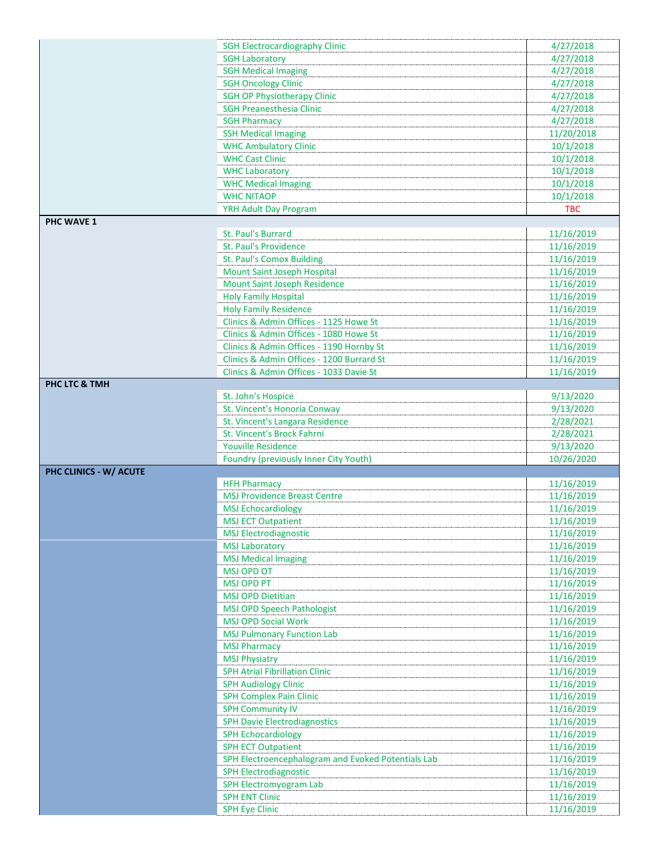|                        | <b>SGH Electrocardiography Clinic</b>              | 4/27/2018  |
|------------------------|----------------------------------------------------|------------|
|                        | <b>SGH Laboratory</b>                              | 4/27/2018  |
|                        | <b>SGH Medical Imaging</b>                         | 4/27/2018  |
|                        | <b>SGH Oncology Clinic</b>                         | 4/27/2018  |
|                        | <b>SGH OP Physiotherapy Clinic</b>                 | 4/27/2018  |
|                        | <b>SGH Preanesthesia Clinic</b>                    | 4/27/2018  |
|                        | <b>SGH Pharmacy</b>                                | 4/27/2018  |
|                        | <b>SSH Medical Imaging</b>                         | 11/20/2018 |
|                        | <b>WHC Ambulatory Clinic</b>                       | 10/1/2018  |
|                        | <b>WHC Cast Clinic</b>                             | 10/1/2018  |
|                        | <b>WHC Laboratory</b>                              | 10/1/2018  |
|                        | <b>WHC Medical Imaging</b>                         | 10/1/2018  |
|                        | <b>WHC NITAOP</b>                                  | 10/1/2018  |
|                        | YRH Adult Day Program                              | TBC        |
| <b>PHC WAVE 1</b>      |                                                    |            |
|                        | St. Paul's Burrard                                 | 11/16/2019 |
|                        | St. Paul's Providence                              | 11/16/2019 |
|                        | <b>St. Paul's Comox Building</b>                   | 11/16/2019 |
|                        | <b>Mount Saint Joseph Hospital</b>                 | 11/16/2019 |
|                        | <b>Mount Saint Joseph Residence</b>                | 11/16/2019 |
|                        | <b>Holy Family Hospital</b>                        | 11/16/2019 |
|                        | <b>Holy Family Residence</b>                       | 11/16/2019 |
|                        | Clinics & Admin Offices - 1125 Howe St             | 11/16/2019 |
|                        | Clinics & Admin Offices - 1080 Howe St             | 11/16/2019 |
|                        | Clinics & Admin Offices - 1190 Hornby St           | 11/16/2019 |
|                        | Clinics & Admin Offices - 1200 Burrard St          | 11/16/2019 |
|                        | Clinics & Admin Offices - 1033 Davie St            | 11/16/2019 |
| PHC LTC & TMH          |                                                    |            |
|                        | St. John's Hospice                                 | 9/13/2020  |
|                        | St. Vincent's Honoria Conway                       | 9/13/2020  |
|                        | St. Vincent's Langara Residence                    | 2/28/2021  |
|                        | St. Vincent's Brock Fahrni                         | 2/28/2021  |
|                        | <b>Youville Residence</b>                          | 9/13/2020  |
|                        | Foundry (previously Inner City Youth)              | 10/26/2020 |
| PHC CLINICS - W/ ACUTE |                                                    |            |
|                        | <b>HFH Pharmacy</b>                                | 11/16/2019 |
|                        | <b>MSJ Providence Breast Centre</b>                | 11/16/2019 |
|                        | <b>MSJ Echocardiology</b>                          | 11/16/2019 |
|                        | <b>MSJ ECT Outpatient</b>                          | 11/16/2019 |
|                        | <b>MSJ Electrodiagnostic</b>                       | 11/16/2019 |
|                        | <b>MSJ Laboratory</b>                              | 11/16/2019 |
|                        | <b>MSJ Medical Imaging</b>                         | 11/16/2019 |
|                        | <b>MSJ OPD OT</b>                                  | 11/16/2019 |
|                        | <b>MSJ OPD PT</b>                                  | 11/16/2019 |
|                        | <b>MSJ OPD Dietitian</b>                           | 11/16/2019 |
|                        | <b>MSJ OPD Speech Pathologist</b>                  | 11/16/2019 |
|                        | <b>MSJ OPD Social Work</b>                         | 11/16/2019 |
|                        | <b>MSJ Pulmonary Function Lab</b>                  | 11/16/2019 |
|                        | <b>MSJ Pharmacy</b>                                | 11/16/2019 |
|                        | <b>MSJ Physiatry</b>                               | 11/16/2019 |
|                        | <b>SPH Atrial Fibrillation Clinic</b>              | 11/16/2019 |
|                        | <b>SPH Audiology Clinic</b>                        | 11/16/2019 |
|                        | <b>SPH Complex Pain Clinic</b>                     | 11/16/2019 |
|                        | <b>SPH Community IV</b>                            | 11/16/2019 |
|                        | <b>SPH Davie Electrodiagnostics</b>                | 11/16/2019 |
|                        | <b>SPH Echocardiology</b>                          | 11/16/2019 |
|                        | <b>SPH ECT Outpatient</b>                          | 11/16/2019 |
|                        | SPH Electroencephalogram and Evoked Potentials Lab | 11/16/2019 |
|                        | <b>SPH Electrodiagnostic</b>                       | 11/16/2019 |
|                        | SPH Electromyogram Lab                             | 11/16/2019 |
|                        | <b>SPH ENT Clinic</b>                              | 11/16/2019 |
|                        | <b>SPH Eye Clinic</b>                              | 11/16/2019 |
|                        |                                                    |            |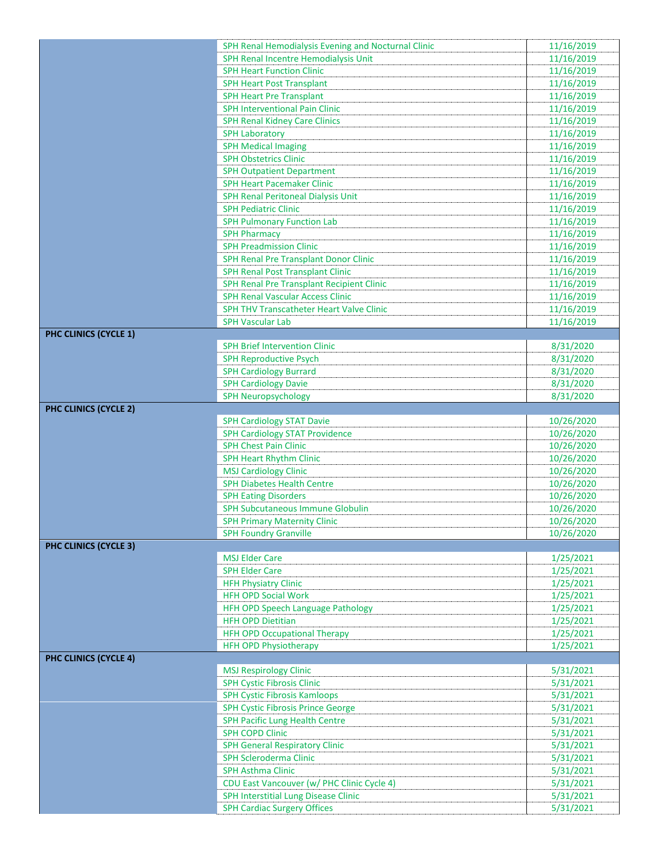|                       | SPH Renal Hemodialysis Evening and Nocturnal Clinic           | 11/16/2019 |
|-----------------------|---------------------------------------------------------------|------------|
|                       | SPH Renal Incentre Hemodialysis Unit                          | 11/16/2019 |
|                       | <b>SPH Heart Function Clinic</b>                              | 11/16/2019 |
|                       | <b>SPH Heart Post Transplant</b>                              | 11/16/2019 |
|                       | <b>SPH Heart Pre Transplant</b>                               | 11/16/2019 |
|                       | <b>SPH Interventional Pain Clinic</b>                         | 11/16/2019 |
|                       | <b>SPH Renal Kidney Care Clinics</b>                          | 11/16/2019 |
|                       | <b>SPH Laboratory</b>                                         | 11/16/2019 |
|                       | <b>SPH Medical Imaging</b>                                    | 11/16/2019 |
|                       | <b>SPH Obstetrics Clinic</b>                                  | 11/16/2019 |
|                       | <b>SPH Outpatient Department</b>                              | 11/16/2019 |
|                       | <b>SPH Heart Pacemaker Clinic</b>                             | 11/16/2019 |
|                       | SPH Renal Peritoneal Dialysis Unit                            | 11/16/2019 |
|                       | <b>SPH Pediatric Clinic</b>                                   | 11/16/2019 |
|                       | <b>SPH Pulmonary Function Lab</b>                             | 11/16/2019 |
|                       | <b>SPH Pharmacy</b>                                           | 11/16/2019 |
|                       | <b>SPH Preadmission Clinic</b>                                | 11/16/2019 |
|                       | SPH Renal Pre Transplant Donor Clinic                         | 11/16/2019 |
|                       | <b>SPH Renal Post Transplant Clinic</b>                       | 11/16/2019 |
|                       | SPH Renal Pre Transplant Recipient Clinic                     | 11/16/2019 |
|                       | <b>SPH Renal Vascular Access Clinic</b>                       | 11/16/2019 |
|                       | <b>SPH THV Transcatheter Heart Valve Clinic</b>               | 11/16/2019 |
|                       | <b>SPH Vascular Lab</b>                                       | 11/16/2019 |
| PHC CLINICS (CYCLE 1) |                                                               |            |
|                       | <b>SPH Brief Intervention Clinic</b>                          | 8/31/2020  |
|                       | <b>SPH Reproductive Psych</b>                                 | 8/31/2020  |
|                       | <b>SPH Cardiology Burrard</b>                                 | 8/31/2020  |
|                       | <b>SPH Cardiology Davie</b>                                   | 8/31/2020  |
|                       | <b>SPH Neuropsychology</b>                                    | 8/31/2020  |
| PHC CLINICS (CYCLE 2) |                                                               |            |
|                       | <b>SPH Cardiology STAT Davie</b>                              | 10/26/2020 |
|                       | <b>SPH Cardiology STAT Providence</b>                         | 10/26/2020 |
|                       | <b>SPH Chest Pain Clinic</b>                                  | 10/26/2020 |
|                       | <b>SPH Heart Rhythm Clinic</b>                                | 10/26/2020 |
|                       | <b>MSJ Cardiology Clinic</b>                                  | 10/26/2020 |
|                       | <b>SPH Diabetes Health Centre</b>                             | 10/26/2020 |
|                       | <b>SPH Eating Disorders</b>                                   | 10/26/2020 |
|                       | SPH Subcutaneous Immune Globulin                              | 10/26/2020 |
|                       |                                                               |            |
|                       | <b>SPH Primary Maternity Clinic</b>                           | 10/26/2020 |
|                       | <b>SPH Foundry Granville</b>                                  | 10/26/2020 |
| PHC CLINICS (CYCLE 3) |                                                               |            |
|                       | <b>MSJ Elder Care</b><br><b>SPH Elder Care</b>                | 1/25/2021  |
|                       |                                                               | 1/25/2021  |
|                       | <b>HFH Physiatry Clinic</b>                                   | 1/25/2021  |
|                       | <b>HFH OPD Social Work</b>                                    | 1/25/2021  |
|                       | HFH OPD Speech Language Pathology<br><b>HFH OPD Dietitian</b> | 1/25/2021  |
|                       |                                                               | 1/25/2021  |
|                       | <b>HFH OPD Occupational Therapy</b>                           | 1/25/2021  |
|                       | <b>HFH OPD Physiotherapy</b>                                  | 1/25/2021  |
| PHC CLINICS (CYCLE 4) |                                                               |            |
|                       | <b>MSJ Respirology Clinic</b>                                 | 5/31/2021  |
|                       | <b>SPH Cystic Fibrosis Clinic</b>                             | 5/31/2021  |
|                       | <b>SPH Cystic Fibrosis Kamloops</b>                           | 5/31/2021  |
|                       | <b>SPH Cystic Fibrosis Prince George</b>                      | 5/31/2021  |
|                       | SPH Pacific Lung Health Centre                                | 5/31/2021  |
|                       | <b>SPH COPD Clinic</b>                                        | 5/31/2021  |
|                       | <b>SPH General Respiratory Clinic</b>                         | 5/31/2021  |
|                       | SPH Scleroderma Clinic                                        | 5/31/2021  |
|                       | <b>SPH Asthma Clinic</b>                                      | 5/31/2021  |
|                       | CDU East Vancouver (w/ PHC Clinic Cycle 4)                    | 5/31/2021  |
|                       | SPH Interstitial Lung Disease Clinic                          | 5/31/2021  |
|                       | <b>SPH Cardiac Surgery Offices</b>                            | 5/31/2021  |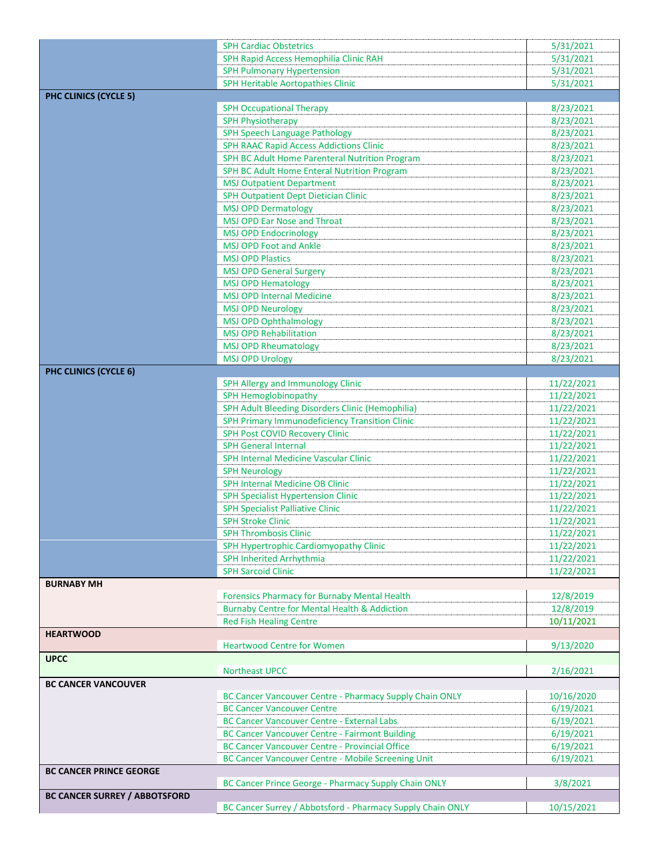|                                      | <b>SPH Cardiac Obstetrics</b>                              | 5/31/2021  |
|--------------------------------------|------------------------------------------------------------|------------|
|                                      | SPH Rapid Access Hemophilia Clinic RAH                     | 5/31/2021  |
|                                      | <b>SPH Pulmonary Hypertension</b>                          | 5/31/2021  |
|                                      | SPH Heritable Aortopathies Clinic                          | 5/31/2021  |
| PHC CLINICS (CYCLE 5)                |                                                            |            |
|                                      | <b>SPH Occupational Therapy</b>                            | 8/23/2021  |
|                                      | <b>SPH Physiotherapy</b>                                   | 8/23/2021  |
|                                      | <b>SPH Speech Language Pathology</b>                       | 8/23/2021  |
|                                      | SPH RAAC Rapid Access Addictions Clinic                    | 8/23/2021  |
|                                      | SPH BC Adult Home Parenteral Nutrition Program             | 8/23/2021  |
|                                      | SPH BC Adult Home Enteral Nutrition Program                | 8/23/2021  |
|                                      | <b>MSJ Outpatient Department</b>                           | 8/23/2021  |
|                                      | SPH Outpatient Dept Dietician Clinic                       | 8/23/2021  |
|                                      | <b>MSJ OPD Dermatology</b>                                 | 8/23/2021  |
|                                      | <b>MSJ OPD Ear Nose and Throat</b>                         | 8/23/2021  |
|                                      | <b>MSJ OPD Endocrinology</b>                               | 8/23/2021  |
|                                      | <b>MSJ OPD Foot and Ankle</b>                              | 8/23/2021  |
|                                      | <b>MSJ OPD Plastics</b>                                    | 8/23/2021  |
|                                      | <b>MSJ OPD General Surgery</b>                             | 8/23/2021  |
|                                      | <b>MSJ OPD Hematology</b>                                  | 8/23/2021  |
|                                      | <b>MSJ OPD Internal Medicine</b>                           | 8/23/2021  |
|                                      | <b>MSJ OPD Neurology</b>                                   | 8/23/2021  |
|                                      | <b>MSJ OPD Ophthalmology</b>                               | 8/23/2021  |
|                                      | <b>MSJ OPD Rehabilitation</b>                              | 8/23/2021  |
|                                      | <b>MSJ OPD Rheumatology</b>                                | 8/23/2021  |
|                                      | <b>MSJ OPD Urology</b>                                     | 8/23/2021  |
| PHC CLINICS (CYCLE 6)                |                                                            |            |
|                                      | SPH Allergy and Immunology Clinic                          | 11/22/2021 |
|                                      | SPH Hemoglobinopathy                                       | 11/22/2021 |
|                                      | SPH Adult Bleeding Disorders Clinic (Hemophilia)           | 11/22/2021 |
|                                      | SPH Primary Immunodeficiency Transition Clinic             | 11/22/2021 |
|                                      | <b>SPH Post COVID Recovery Clinic</b>                      | 11/22/2021 |
|                                      | <b>SPH General Internal</b>                                | 11/22/2021 |
|                                      | <b>SPH Internal Medicine Vascular Clinic</b>               | 11/22/2021 |
|                                      | <b>SPH Neurology</b>                                       | 11/22/2021 |
|                                      | SPH Internal Medicine OB Clinic                            | 11/22/2021 |
|                                      | SPH Specialist Hypertension Clinic                         | 11/22/2021 |
|                                      | <b>SPH Specialist Palliative Clinic</b>                    |            |
|                                      | <b>SPH Stroke Clinic</b>                                   | 11/22/2021 |
|                                      | <b>SPH Thrombosis Clinic</b>                               | 11/22/2021 |
|                                      |                                                            | 11/22/2021 |
|                                      | SPH Hypertrophic Cardiomyopathy Clinic                     | 11/22/2021 |
|                                      | SPH Inherited Arrhythmia                                   | 11/22/2021 |
|                                      | <b>SPH Sarcoid Clinic</b>                                  | 11/22/2021 |
| <b>BURNABY MH</b>                    |                                                            |            |
|                                      | Forensics Pharmacy for Burnaby Mental Health               | 12/8/2019  |
|                                      | <b>Burnaby Centre for Mental Health &amp; Addiction</b>    | 12/8/2019  |
| <b>HEARTWOOD</b>                     | <b>Red Fish Healing Centre</b>                             | 10/11/2021 |
|                                      | <b>Heartwood Centre for Women</b>                          | 9/13/2020  |
| <b>UPCC</b>                          |                                                            |            |
|                                      | Northeast UPCC                                             | 2/16/2021  |
| <b>BC CANCER VANCOUVER</b>           |                                                            |            |
|                                      | BC Cancer Vancouver Centre - Pharmacy Supply Chain ONLY    | 10/16/2020 |
|                                      | <b>BC Cancer Vancouver Centre</b>                          | 6/19/2021  |
|                                      | <b>BC Cancer Vancouver Centre - External Labs</b>          | 6/19/2021  |
|                                      | <b>BC Cancer Vancouver Centre - Fairmont Building</b>      | 6/19/2021  |
|                                      |                                                            |            |
|                                      | <b>BC Cancer Vancouver Centre - Provincial Office</b>      | 6/19/2021  |
|                                      | BC Cancer Vancouver Centre - Mobile Screening Unit         | 6/19/2021  |
| <b>BC CANCER PRINCE GEORGE</b>       |                                                            | 3/8/2021   |
|                                      | BC Cancer Prince George - Pharmacy Supply Chain ONLY       |            |
| <b>BC CANCER SURREY / ABBOTSFORD</b> | BC Cancer Surrey / Abbotsford - Pharmacy Supply Chain ONLY |            |
|                                      |                                                            | 10/15/2021 |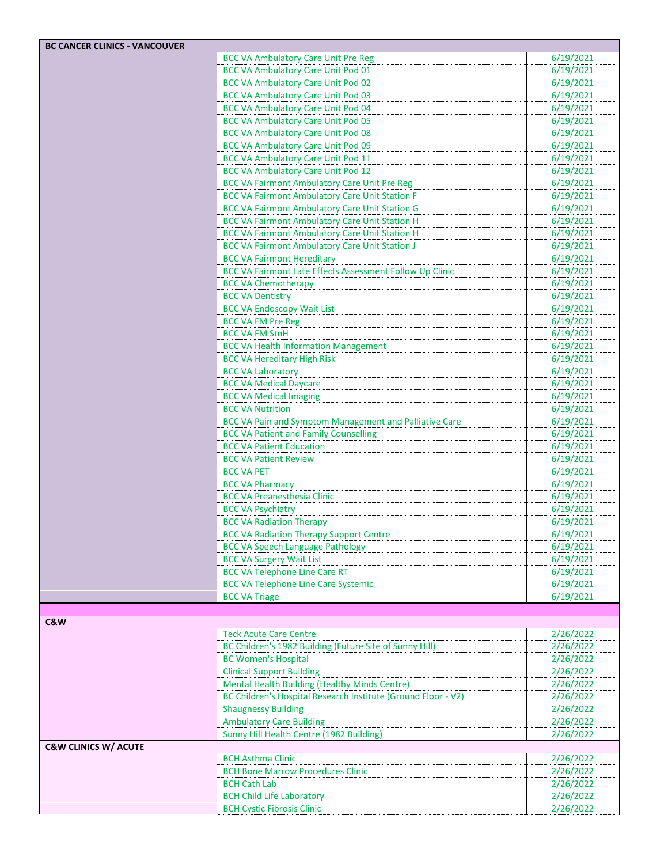| <b>BC CANCER CLINICS - VANCOUVER</b> |                                                                 |           |
|--------------------------------------|-----------------------------------------------------------------|-----------|
|                                      | <b>BCC VA Ambulatory Care Unit Pre Reg</b>                      | 6/19/2021 |
|                                      | <b>BCC VA Ambulatory Care Unit Pod 01</b>                       | 6/19/2021 |
|                                      | <b>BCC VA Ambulatory Care Unit Pod 02</b>                       | 6/19/2021 |
|                                      | <b>BCC VA Ambulatory Care Unit Pod 03</b>                       | 6/19/2021 |
|                                      | <b>BCC VA Ambulatory Care Unit Pod 04</b>                       | 6/19/2021 |
|                                      | <b>BCC VA Ambulatory Care Unit Pod 05</b>                       | 6/19/2021 |
|                                      | <b>BCC VA Ambulatory Care Unit Pod 08</b>                       | 6/19/2021 |
|                                      | <b>BCC VA Ambulatory Care Unit Pod 09</b>                       | 6/19/2021 |
|                                      | <b>BCC VA Ambulatory Care Unit Pod 11</b>                       | 6/19/2021 |
|                                      | <b>BCC VA Ambulatory Care Unit Pod 12</b>                       | 6/19/2021 |
|                                      | <b>BCC VA Fairmont Ambulatory Care Unit Pre Reg</b>             | 6/19/2021 |
|                                      |                                                                 |           |
|                                      | <b>BCC VA Fairmont Ambulatory Care Unit Station F</b>           | 6/19/2021 |
|                                      | <b>BCC VA Fairmont Ambulatory Care Unit Station G</b>           | 6/19/2021 |
|                                      | <b>BCC VA Fairmont Ambulatory Care Unit Station H</b>           | 6/19/2021 |
|                                      | <b>BCC VA Fairmont Ambulatory Care Unit Station H</b>           | 6/19/2021 |
|                                      | <b>BCC VA Fairmont Ambulatory Care Unit Station J</b>           | 6/19/2021 |
|                                      | <b>BCC VA Fairmont Hereditary</b>                               | 6/19/2021 |
|                                      | <b>BCC VA Fairmont Late Effects Assessment Follow Up Clinic</b> | 6/19/2021 |
|                                      | <b>BCC VA Chemotherapy</b>                                      | 6/19/2021 |
|                                      | <b>BCC VA Dentistry</b>                                         | 6/19/2021 |
|                                      | <b>BCC VA Endoscopy Wait List</b>                               | 6/19/2021 |
|                                      | <b>BCC VA FM Pre Reg</b>                                        | 6/19/2021 |
|                                      | <b>BCC VA FM StnH</b>                                           | 6/19/2021 |
|                                      | <b>BCC VA Health Information Management</b>                     | 6/19/2021 |
|                                      | <b>BCC VA Hereditary High Risk</b>                              | 6/19/2021 |
|                                      | <b>BCC VA Laboratory</b>                                        | 6/19/2021 |
|                                      | <b>BCC VA Medical Daycare</b>                                   | 6/19/2021 |
|                                      | <b>BCC VA Medical Imaging</b>                                   | 6/19/2021 |
|                                      | <b>BCC VA Nutrition</b>                                         | 6/19/2021 |
|                                      | <b>BCC VA Pain and Symptom Management and Palliative Care</b>   | 6/19/2021 |
|                                      | <b>BCC VA Patient and Family Counselling</b>                    | 6/19/2021 |
|                                      | <b>BCC VA Patient Education</b>                                 | 6/19/2021 |
|                                      | <b>BCC VA Patient Review</b>                                    | 6/19/2021 |
|                                      | <b>BCC VA PET</b>                                               | 6/19/2021 |
|                                      | <b>BCC VA Pharmacy</b>                                          | 6/19/2021 |
|                                      | <b>BCC VA Preanesthesia Clinic</b>                              | 6/19/2021 |
|                                      | <b>BCC VA Psychiatry</b>                                        | 6/19/2021 |
|                                      | <b>BCC VA Radiation Therapy</b>                                 | 6/19/2021 |
|                                      | <b>BCC VA Radiation Therapy Support Centre</b>                  | 6/19/2021 |
|                                      | <b>BCC VA Speech Language Pathology</b>                         | 6/19/2021 |
|                                      | <b>BCC VA Surgery Wait List</b>                                 | 6/19/2021 |
|                                      | <b>BCC VA Telephone Line Care RT</b>                            | 6/19/2021 |
|                                      | <b>BCC VA Telephone Line Care Systemic</b>                      | 6/19/2021 |
|                                      | <b>BCC VA Triage</b>                                            | 6/19/2021 |
|                                      |                                                                 |           |
| C&W                                  |                                                                 |           |
|                                      | <b>Teck Acute Care Centre</b>                                   | 2/26/2022 |
|                                      | BC Children's 1982 Building (Future Site of Sunny Hill)         | 2/26/2022 |
|                                      | <b>BC Women's Hospital</b>                                      | 2/26/2022 |
|                                      | <b>Clinical Support Building</b>                                | 2/26/2022 |
|                                      | Mental Health Building (Healthy Minds Centre)                   | 2/26/2022 |
|                                      | BC Children's Hospital Research Institute (Ground Floor - V2)   | 2/26/2022 |
|                                      | <b>Shaugnessy Building</b>                                      | 2/26/2022 |
|                                      | <b>Ambulatory Care Building</b>                                 | 2/26/2022 |
|                                      | Sunny Hill Health Centre (1982 Building)                        | 2/26/2022 |
| <b>C&amp;W CLINICS W/ ACUTE</b>      |                                                                 |           |
|                                      | <b>BCH Asthma Clinic</b>                                        | 2/26/2022 |
|                                      | <b>BCH Bone Marrow Procedures Clinic</b>                        | 2/26/2022 |
|                                      | <b>BCH Cath Lab</b>                                             | 2/26/2022 |
|                                      | <b>BCH Child Life Laboratory</b>                                | 2/26/2022 |
|                                      | <b>BCH Cystic Fibrosis Clinic</b>                               | 2/26/2022 |